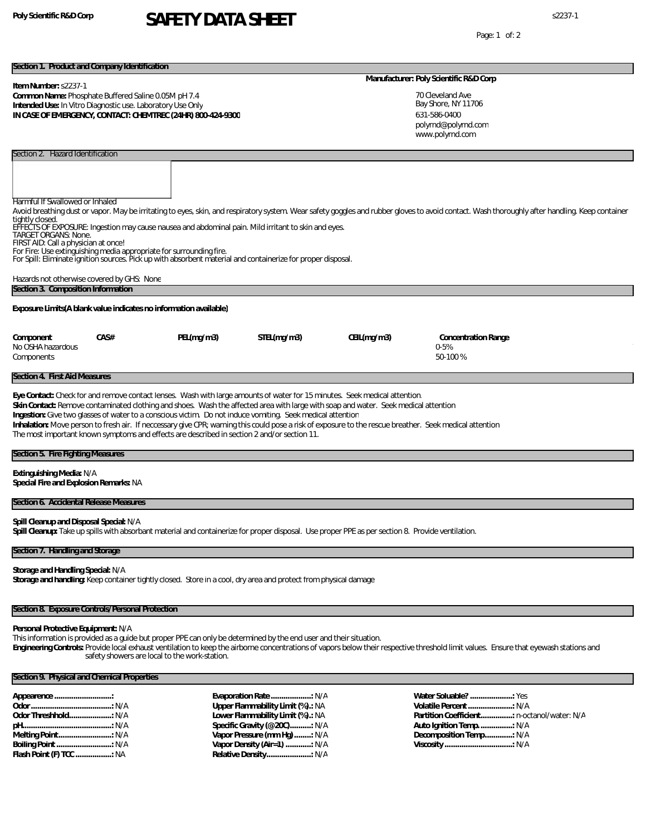# **Poly Scientific R&D Corp** s2237-1 **SAFETY DATA SHEET**

Page: 1 of: 2

#### **Section 1. Product and Company Identification**

#### **Item Number:** s2237-1

Section 2. Hazard Identification

**Common Name:** Phosphate Buffered Saline 0.05M pH 7.4 **Intended Use:** In Vitro Diagnostic use. Laboratory Use Only **IN CASE OF EMERGENCY, CONTACT: CHEMTREC (24HR) 800-424-9300**

#### **Manufacturer: Poly Scientific R&D Corp**

70 Cleveland Ave Bay Shore, NY 11706 631-586-0400 www.polyrnd.com polyrnd@polyrnd.com

| Harmful If Swallowed or Inhaled<br>tightly closed.<br><b>TARGET ORGANS: None.</b><br>FIRST AID: Call a physician at once! | For Fire: Use extinguishing media appropriate for surrounding fire. |                                                                                            | EFFECTS OF EXPOSURE: Ingestion may cause nausea and abdominal pain. Mild irritant to skin and eyes.<br>For Spill: Eliminate ignition sources. Pick up with absorbent material and containerize for proper disposal. |                                                                                                                                                                                                                                                                                                                                                                                                                              | Avoid breathing dust or vapor. May be irritating to eyes, skin, and respiratory system. Wear safety goggles and rubber gloves to avoid contact. Wash thoroughly after handling. Keep container |  |
|---------------------------------------------------------------------------------------------------------------------------|---------------------------------------------------------------------|--------------------------------------------------------------------------------------------|---------------------------------------------------------------------------------------------------------------------------------------------------------------------------------------------------------------------|------------------------------------------------------------------------------------------------------------------------------------------------------------------------------------------------------------------------------------------------------------------------------------------------------------------------------------------------------------------------------------------------------------------------------|------------------------------------------------------------------------------------------------------------------------------------------------------------------------------------------------|--|
|                                                                                                                           | Hazards not otherwise covered by GHS: None                          |                                                                                            |                                                                                                                                                                                                                     |                                                                                                                                                                                                                                                                                                                                                                                                                              |                                                                                                                                                                                                |  |
| Section 3. Composition Information                                                                                        |                                                                     |                                                                                            |                                                                                                                                                                                                                     |                                                                                                                                                                                                                                                                                                                                                                                                                              |                                                                                                                                                                                                |  |
|                                                                                                                           | Exposure Limits (A blank value indicates no information available)  |                                                                                            |                                                                                                                                                                                                                     |                                                                                                                                                                                                                                                                                                                                                                                                                              |                                                                                                                                                                                                |  |
| Component                                                                                                                 | CAS#                                                                | PEL(mq/m3)                                                                                 | STEL(mq/m3)                                                                                                                                                                                                         | CEL(mq/m3)                                                                                                                                                                                                                                                                                                                                                                                                                   | Concentration Range                                                                                                                                                                            |  |
| No OSHA hazardous                                                                                                         |                                                                     |                                                                                            |                                                                                                                                                                                                                     |                                                                                                                                                                                                                                                                                                                                                                                                                              | $0 - 5%$                                                                                                                                                                                       |  |
| Components                                                                                                                |                                                                     |                                                                                            |                                                                                                                                                                                                                     |                                                                                                                                                                                                                                                                                                                                                                                                                              | 50-100%                                                                                                                                                                                        |  |
| Section 4. First Aid Measures                                                                                             |                                                                     |                                                                                            |                                                                                                                                                                                                                     |                                                                                                                                                                                                                                                                                                                                                                                                                              |                                                                                                                                                                                                |  |
|                                                                                                                           |                                                                     | The most important known symptoms and effects are described in section 2 and/or section 11 | Ingestion: Give two glasses of water to a conscious victim. Do not induce vomiting. Seek medical attention                                                                                                          | Eye Contact: Check for and remove contact lenses. Wash with large amounts of water for 15 minutes. Seek medical attention.<br>Skin Contact: Remove contaminated clothing and shoes. Wash the affected area with large with soap and water. Seek medical attention<br>Inhalation: Move person to fresh air. If neccessary give CPR; warning this could pose a risk of exposure to the rescue breather. Seek medical attention |                                                                                                                                                                                                |  |

| Section 5. Fire Fighting Measures |  |
|-----------------------------------|--|
|-----------------------------------|--|

**Extinguishing Media:** N/A

**Special Fire and Explosion Remarks:** NA

## **Section 6. Accidental Release Measures**

**Spill Cleanup and Disposal Special:** N/A

**Spill Cleanup:** Take up spills with absorbant material and containerize for proper disposal. Use proper PPE as per section 8. Provide ventilation.

## **Section 7. Handling and Storage**

**Storage and Handling Special:** N/A Storage and handling: Keep container tightly closed. Store in a cool, dry area and protect from physical damage

## **Section 8. Exposure Controls/Personal Protection**

### **Personal Protective Equipment:** N/A

This information is provided as a guide but proper PPE can only be determined by the end user and their situation.

**Engineering Controls:** Provide local exhaust ventilation to keep the airborne concentrations of vapors below their respective threshold limit values. Ensure that eyewash stations and safety showers are local to the work-station.

# **Section 9. Physical and Chemical Properties**

|                         | Upper Flammability Limit (%).: NA |
|-------------------------|-----------------------------------|
|                         | Lower Flammability Limit (%).: NA |
|                         | Specific Gravity (@ 20C): N/A     |
|                         | Vapor Pressure (mm Hq) : N/A      |
|                         | Vapor Density (Air=1) : N/A       |
| Flash Point (F) TCC  NA |                                   |
|                         |                                   |

**Water Soluable? ....................:** Yes **Volatile Percent.....................:** N/A **Partition Coefficient...............:** n-octanol/water: N/A **Auto Ignition Temp................:** N/A **Decomposition Temp.............:** N/A **Viscosity ................................:** N/A